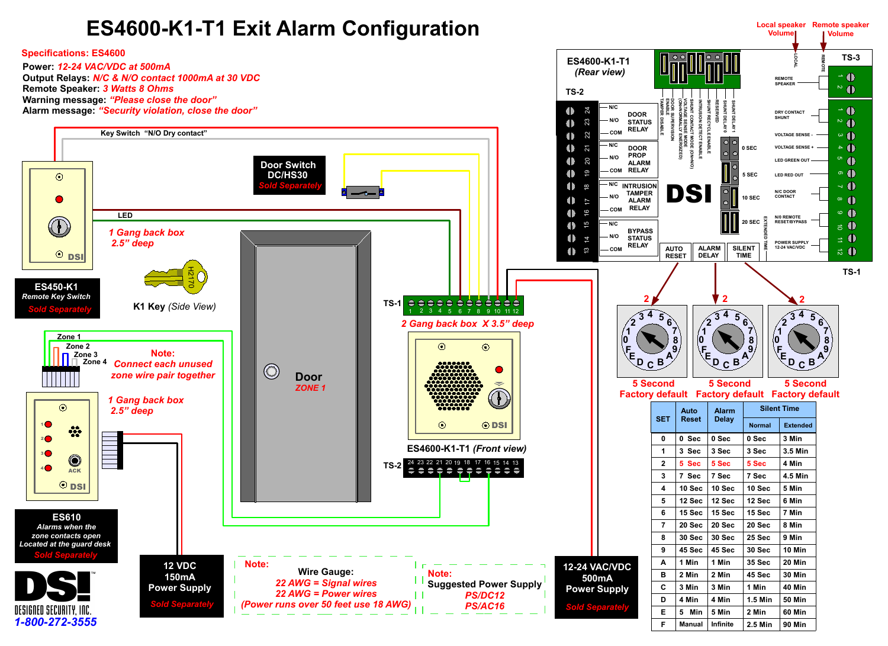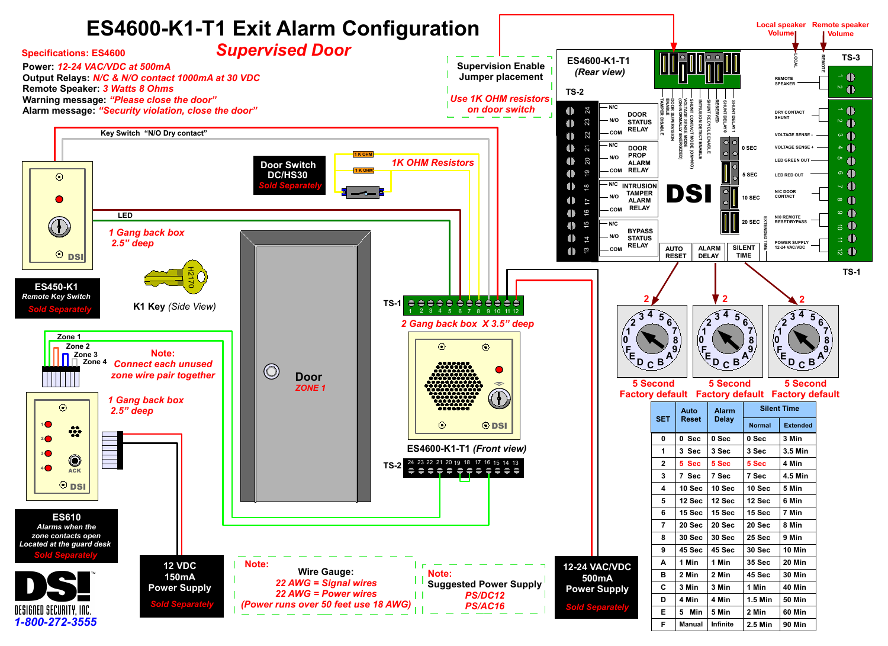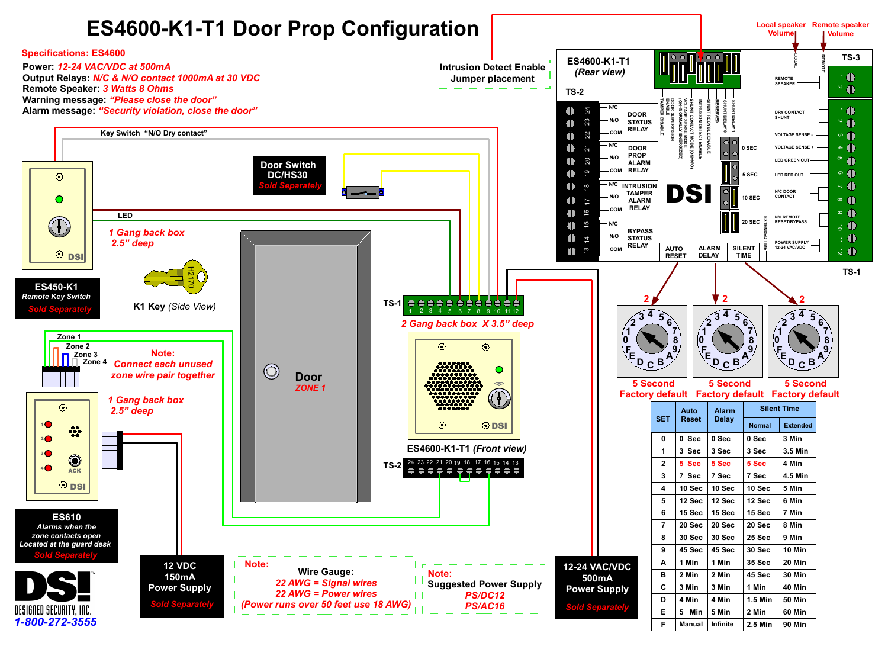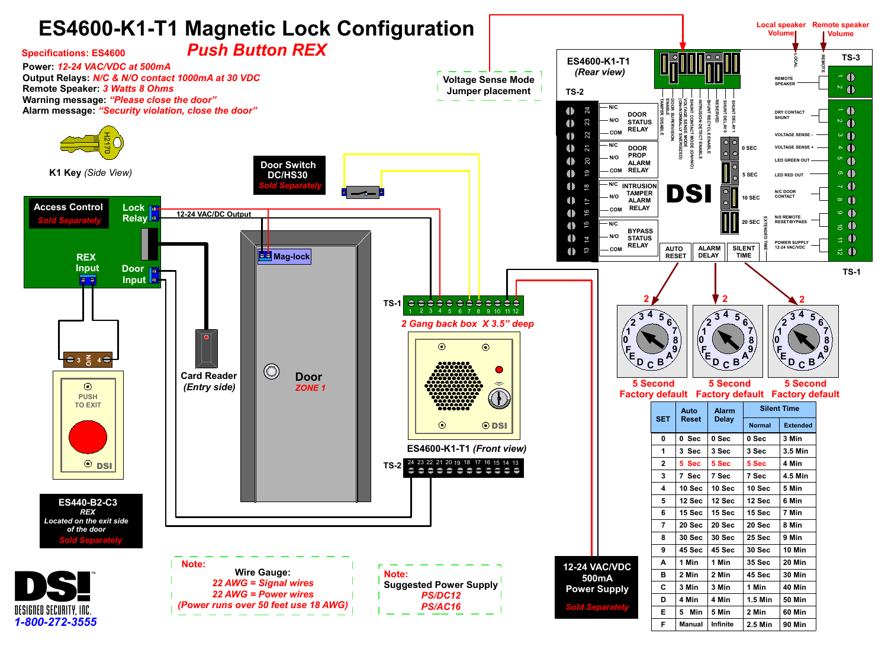